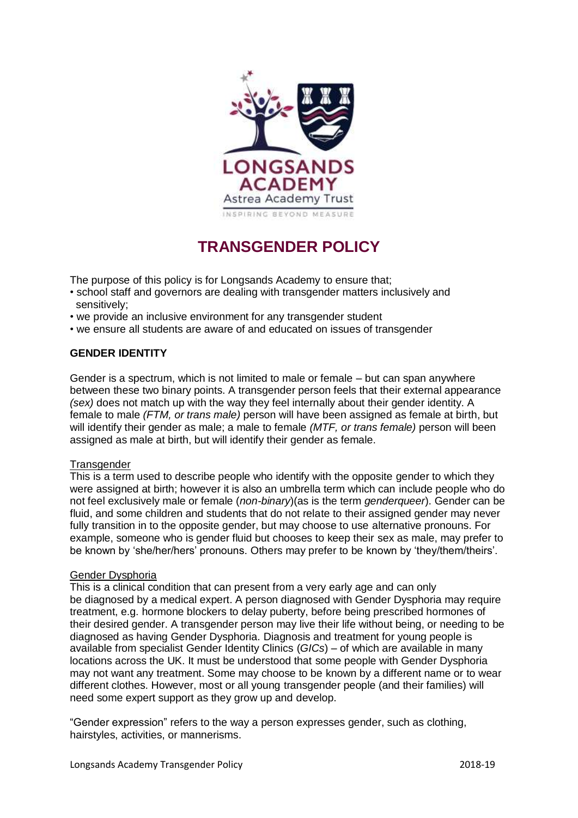

# **TRANSGENDER POLICY**

The purpose of this policy is for Longsands Academy to ensure that;

- school staff and governors are dealing with transgender matters inclusively and sensitively;
- we provide an inclusive environment for any transgender student
- we ensure all students are aware of and educated on issues of transgender

# **GENDER IDENTITY**

Gender is a spectrum, which is not limited to male or female – but can span anywhere between these two binary points. A transgender person feels that their external appearance *(sex)* does not match up with the way they feel internally about their gender identity. A female to male *(FTM, or trans male)* person will have been assigned as female at birth, but will identify their gender as male; a male to female *(MTF, or trans female)* person will been assigned as male at birth, but will identify their gender as female.

### **Transgender**

This is a term used to describe people who identify with the opposite gender to which they were assigned at birth; however it is also an umbrella term which can include people who do not feel exclusively male or female (*non-binary*)(as is the term *genderqueer*). Gender can be fluid, and some children and students that do not relate to their assigned gender may never fully transition in to the opposite gender, but may choose to use alternative pronouns. For example, someone who is gender fluid but chooses to keep their sex as male, may prefer to be known by 'she/her/hers' pronouns. Others may prefer to be known by 'they/them/theirs'.

### Gender Dysphoria

This is a clinical condition that can present from a very early age and can only be diagnosed by a medical expert. A person diagnosed with Gender Dysphoria may require treatment, e.g. hormone blockers to delay puberty, before being prescribed hormones of their desired gender. A transgender person may live their life without being, or needing to be diagnosed as having Gender Dysphoria. Diagnosis and treatment for young people is available from specialist Gender Identity Clinics (*GICs*) – of which are available in many locations across the UK. It must be understood that some people with Gender Dysphoria may not want any treatment. Some may choose to be known by a different name or to wear different clothes. However, most or all young transgender people (and their families) will need some expert support as they grow up and develop.

"Gender expression" refers to the way a person expresses gender, such as clothing, hairstyles, activities, or mannerisms.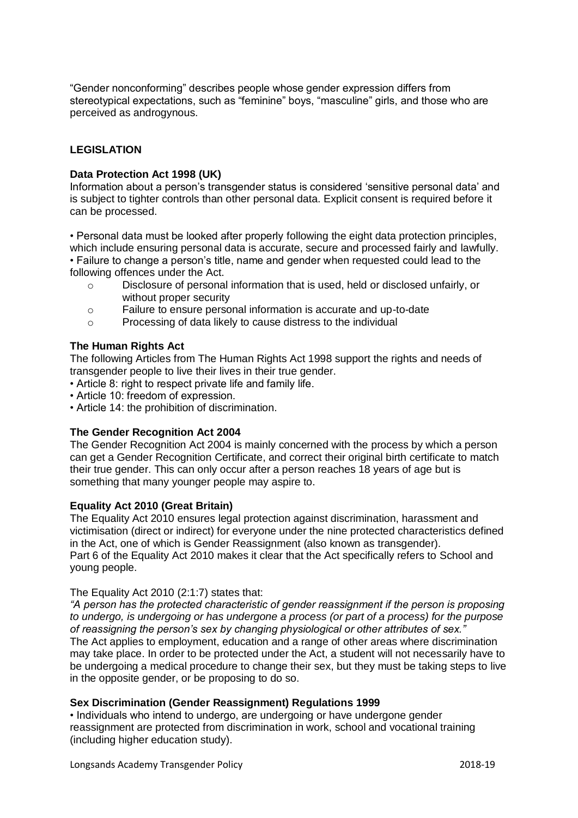"Gender nonconforming" describes people whose gender expression differs from stereotypical expectations, such as "feminine" boys, "masculine" girls, and those who are perceived as androgynous.

# **LEGISLATION**

## **Data Protection Act 1998 (UK)**

Information about a person's transgender status is considered 'sensitive personal data' and is subject to tighter controls than other personal data. Explicit consent is required before it can be processed.

• Personal data must be looked after properly following the eight data protection principles, which include ensuring personal data is accurate, secure and processed fairly and lawfully. • Failure to change a person's title, name and gender when requested could lead to the following offences under the Act.

- o Disclosure of personal information that is used, held or disclosed unfairly, or without proper security
- o Failure to ensure personal information is accurate and up-to-date
- o Processing of data likely to cause distress to the individual

## **The Human Rights Act**

The following Articles from The Human Rights Act 1998 support the rights and needs of transgender people to live their lives in their true gender.

- Article 8: right to respect private life and family life.
- Article 10: freedom of expression.
- Article 14: the prohibition of discrimination.

# **The Gender Recognition Act 2004**

The Gender Recognition Act 2004 is mainly concerned with the process by which a person can get a Gender Recognition Certificate, and correct their original birth certificate to match their true gender. This can only occur after a person reaches 18 years of age but is something that many younger people may aspire to.

### **Equality Act 2010 (Great Britain)**

The Equality Act 2010 ensures legal protection against discrimination, harassment and victimisation (direct or indirect) for everyone under the nine protected characteristics defined in the Act, one of which is Gender Reassignment (also known as transgender). Part 6 of the Equality Act 2010 makes it clear that the Act specifically refers to School and young people.

### The Equality Act 2010 (2:1:7) states that:

*"A person has the protected characteristic of gender reassignment if the person is proposing to undergo, is undergoing or has undergone a process (or part of a process) for the purpose of reassigning the person's sex by changing physiological or other attributes of sex."* The Act applies to employment, education and a range of other areas where discrimination may take place. In order to be protected under the Act, a student will not necessarily have to be undergoing a medical procedure to change their sex, but they must be taking steps to live in the opposite gender, or be proposing to do so.

### **Sex Discrimination (Gender Reassignment) Regulations 1999**

• Individuals who intend to undergo, are undergoing or have undergone gender reassignment are protected from discrimination in work, school and vocational training (including higher education study).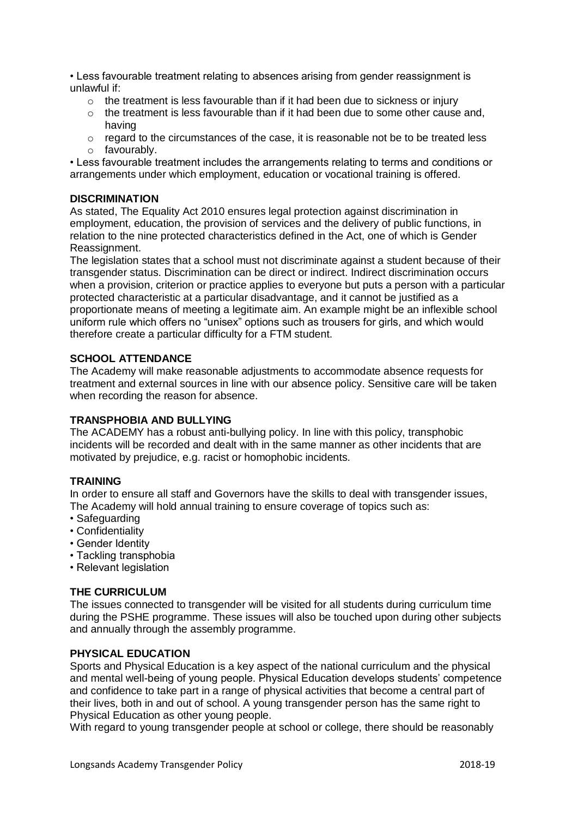• Less favourable treatment relating to absences arising from gender reassignment is unlawful if:

- $\circ$  the treatment is less favourable than if it had been due to sickness or injury
- $\circ$  the treatment is less favourable than if it had been due to some other cause and. having
- o regard to the circumstances of the case, it is reasonable not be to be treated less o favourably.

• Less favourable treatment includes the arrangements relating to terms and conditions or arrangements under which employment, education or vocational training is offered.

## **DISCRIMINATION**

As stated, The Equality Act 2010 ensures legal protection against discrimination in employment, education, the provision of services and the delivery of public functions, in relation to the nine protected characteristics defined in the Act, one of which is Gender Reassignment.

The legislation states that a school must not discriminate against a student because of their transgender status. Discrimination can be direct or indirect. Indirect discrimination occurs when a provision, criterion or practice applies to everyone but puts a person with a particular protected characteristic at a particular disadvantage, and it cannot be justified as a proportionate means of meeting a legitimate aim. An example might be an inflexible school uniform rule which offers no "unisex" options such as trousers for girls, and which would therefore create a particular difficulty for a FTM student.

# **SCHOOL ATTENDANCE**

The Academy will make reasonable adjustments to accommodate absence requests for treatment and external sources in line with our absence policy. Sensitive care will be taken when recording the reason for absence.

# **TRANSPHOBIA AND BULLYING**

The ACADEMY has a robust anti-bullying policy. In line with this policy, transphobic incidents will be recorded and dealt with in the same manner as other incidents that are motivated by prejudice, e.g. racist or homophobic incidents.

### **TRAINING**

In order to ensure all staff and Governors have the skills to deal with transgender issues, The Academy will hold annual training to ensure coverage of topics such as:

- Safeguarding
- Confidentiality
- Gender Identity
- Tackling transphobia
- Relevant legislation

# **THE CURRICULUM**

The issues connected to transgender will be visited for all students during curriculum time during the PSHE programme. These issues will also be touched upon during other subjects and annually through the assembly programme.

# **PHYSICAL EDUCATION**

Sports and Physical Education is a key aspect of the national curriculum and the physical and mental well-being of young people. Physical Education develops students' competence and confidence to take part in a range of physical activities that become a central part of their lives, both in and out of school. A young transgender person has the same right to Physical Education as other young people.

With regard to young transgender people at school or college, there should be reasonably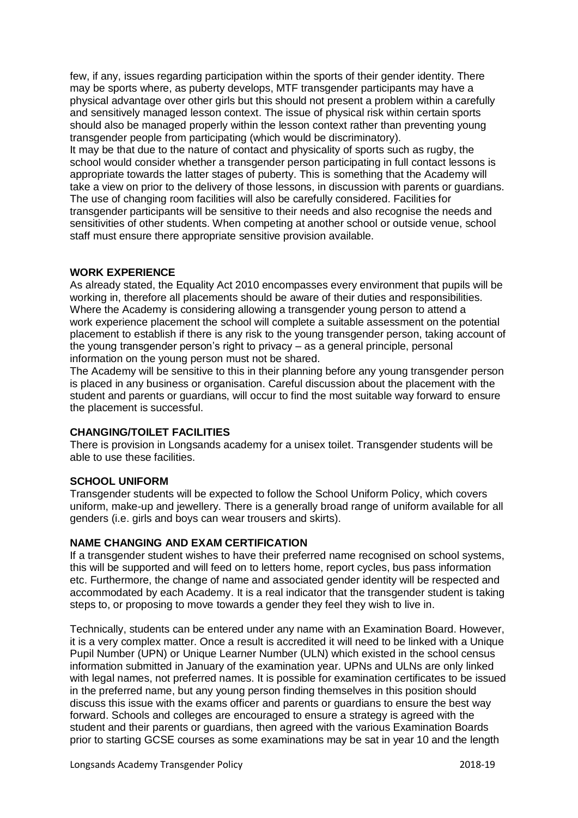few, if any, issues regarding participation within the sports of their gender identity. There may be sports where, as puberty develops, MTF transgender participants may have a physical advantage over other girls but this should not present a problem within a carefully and sensitively managed lesson context. The issue of physical risk within certain sports should also be managed properly within the lesson context rather than preventing young transgender people from participating (which would be discriminatory).

It may be that due to the nature of contact and physicality of sports such as rugby, the school would consider whether a transgender person participating in full contact lessons is appropriate towards the latter stages of puberty. This is something that the Academy will take a view on prior to the delivery of those lessons, in discussion with parents or guardians. The use of changing room facilities will also be carefully considered. Facilities for transgender participants will be sensitive to their needs and also recognise the needs and sensitivities of other students. When competing at another school or outside venue, school staff must ensure there appropriate sensitive provision available.

## **WORK EXPERIENCE**

As already stated, the Equality Act 2010 encompasses every environment that pupils will be working in, therefore all placements should be aware of their duties and responsibilities. Where the Academy is considering allowing a transgender young person to attend a work experience placement the school will complete a suitable assessment on the potential placement to establish if there is any risk to the young transgender person, taking account of the young transgender person's right to privacy – as a general principle, personal information on the young person must not be shared.

The Academy will be sensitive to this in their planning before any young transgender person is placed in any business or organisation. Careful discussion about the placement with the student and parents or guardians, will occur to find the most suitable way forward to ensure the placement is successful.

# **CHANGING/TOILET FACILITIES**

There is provision in Longsands academy for a unisex toilet. Transgender students will be able to use these facilities.

### **SCHOOL UNIFORM**

Transgender students will be expected to follow the School Uniform Policy, which covers uniform, make-up and jewellery. There is a generally broad range of uniform available for all genders (i.e. girls and boys can wear trousers and skirts).

### **NAME CHANGING AND EXAM CERTIFICATION**

If a transgender student wishes to have their preferred name recognised on school systems, this will be supported and will feed on to letters home, report cycles, bus pass information etc. Furthermore, the change of name and associated gender identity will be respected and accommodated by each Academy. It is a real indicator that the transgender student is taking steps to, or proposing to move towards a gender they feel they wish to live in.

Technically, students can be entered under any name with an Examination Board. However, it is a very complex matter. Once a result is accredited it will need to be linked with a Unique Pupil Number (UPN) or Unique Learner Number (ULN) which existed in the school census information submitted in January of the examination year. UPNs and ULNs are only linked with legal names, not preferred names. It is possible for examination certificates to be issued in the preferred name, but any young person finding themselves in this position should discuss this issue with the exams officer and parents or guardians to ensure the best way forward. Schools and colleges are encouraged to ensure a strategy is agreed with the student and their parents or guardians, then agreed with the various Examination Boards prior to starting GCSE courses as some examinations may be sat in year 10 and the length